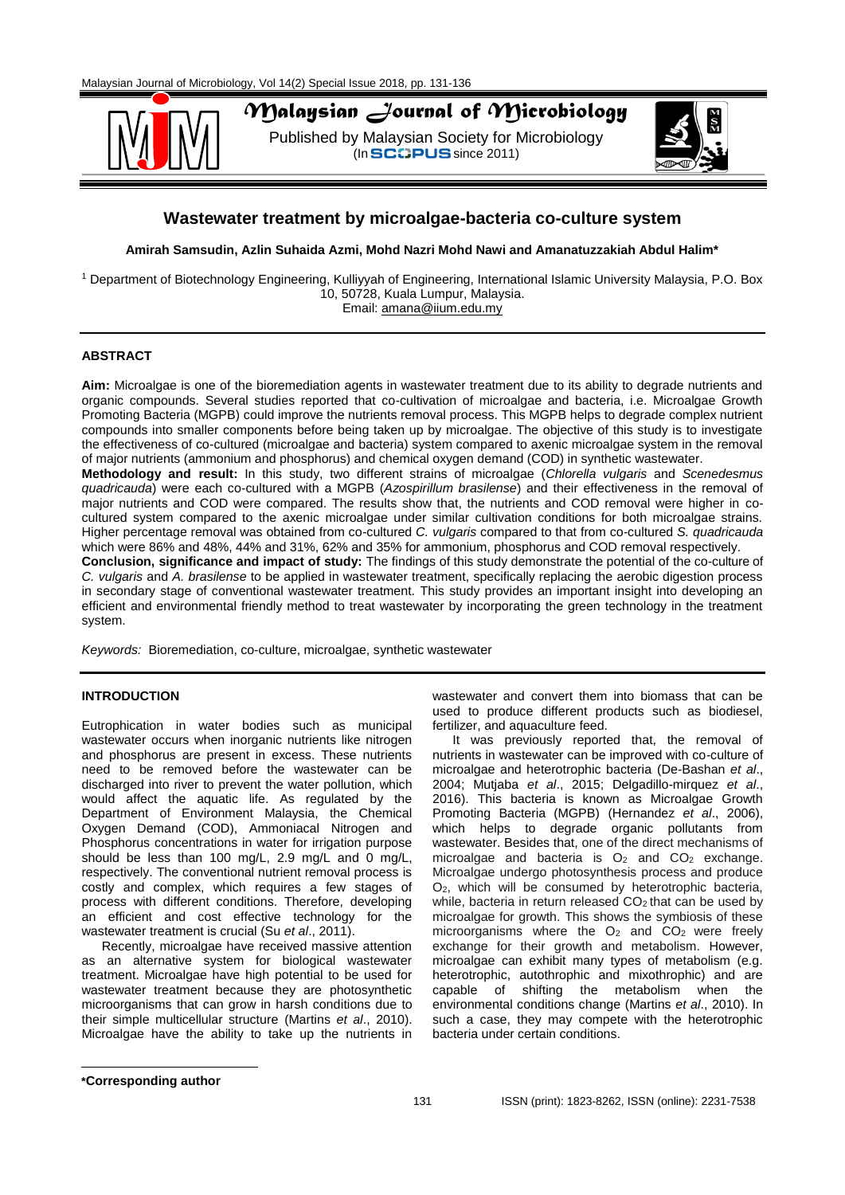

# *Malaysian Journal of Microbiology*

Published by Malaysian Society for Microbiology  $($ In SCOPUS since 2011)



# **Wastewater treatment by microalgae-bacteria co-culture system**

**Amirah Samsudin, Azlin Suhaida Azmi, Mohd Nazri Mohd Nawi and Amanatuzzakiah Abdul Halim\***

<sup>1</sup> Department of Biotechnology Engineering, Kulliyyah of Engineering, International Islamic University Malaysia, P.O. Box 10, 50728, Kuala Lumpur, Malaysia. Email: [amana@iium.edu.my](mailto:amana@iium.edu.my)

# **ABSTRACT**

**Aim:** Microalgae is one of the bioremediation agents in wastewater treatment due to its ability to degrade nutrients and organic compounds. Several studies reported that co-cultivation of microalgae and bacteria, i.e. Microalgae Growth Promoting Bacteria (MGPB) could improve the nutrients removal process. This MGPB helps to degrade complex nutrient compounds into smaller components before being taken up by microalgae. The objective of this study is to investigate the effectiveness of co-cultured (microalgae and bacteria) system compared to axenic microalgae system in the removal of major nutrients (ammonium and phosphorus) and chemical oxygen demand (COD) in synthetic wastewater. **Methodology and result:** In this study, two different strains of microalgae (*Chlorella vulgaris* and *Scenedesmus quadricauda*) were each co-cultured with a MGPB (*Azospirillum brasilense*) and their effectiveness in the removal of major nutrients and COD were compared. The results show that, the nutrients and COD removal were higher in cocultured system compared to the axenic microalgae under similar cultivation conditions for both microalgae strains. Higher percentage removal was obtained from co-cultured *C. vulgaris* compared to that from co-cultured *S. quadricauda* which were 86% and 48%, 44% and 31%, 62% and 35% for ammonium, phosphorus and COD removal respectively. **Conclusion, significance and impact of study:** The findings of this study demonstrate the potential of the co-culture of *C. vulgaris* and *A. brasilense* to be applied in wastewater treatment, specifically replacing the aerobic digestion process

in secondary stage of conventional wastewater treatment. This study provides an important insight into developing an efficient and environmental friendly method to treat wastewater by incorporating the green technology in the treatment system.

*Keywords:* Bioremediation, co-culture, microalgae, synthetic wastewater

## **INTRODUCTION**

Eutrophication in water bodies such as municipal wastewater occurs when inorganic nutrients like nitrogen and phosphorus are present in excess. These nutrients need to be removed before the wastewater can be discharged into river to prevent the water pollution, which would affect the aquatic life. As regulated by the Department of Environment Malaysia, the Chemical Oxygen Demand (COD), Ammoniacal Nitrogen and Phosphorus concentrations in water for irrigation purpose should be less than 100 mg/L, 2.9 mg/L and 0 mg/L, respectively. The conventional nutrient removal process is costly and complex, which requires a few stages of process with different conditions. Therefore, developing an efficient and cost effective technology for the wastewater treatment is crucial (Su *et al*., 2011).

Recently, microalgae have received massive attention as an alternative system for biological wastewater treatment. Microalgae have high potential to be used for wastewater treatment because they are photosynthetic microorganisms that can grow in harsh conditions due to their simple multicellular structure (Martins *et al*., 2010). Microalgae have the ability to take up the nutrients in

wastewater and convert them into biomass that can be used to produce different products such as biodiesel, fertilizer, and aquaculture feed.

It was previously reported that, the removal of nutrients in wastewater can be improved with co-culture of microalgae and heterotrophic bacteria (De-Bashan *et al*., 2004; Mutjaba *et al*., 2015; Delgadillo-mirquez *et al*., 2016). This bacteria is known as Microalgae Growth Promoting Bacteria (MGPB) (Hernandez *et al*., 2006), which helps to degrade organic pollutants from wastewater. Besides that, one of the direct mechanisms of microalgae and bacteria is  $O_2$  and  $CO_2$  exchange. Microalgae undergo photosynthesis process and produce O2, which will be consumed by heterotrophic bacteria, while, bacteria in return released CO<sub>2</sub> that can be used by microalgae for growth. This shows the symbiosis of these microorganisms where the  $O<sub>2</sub>$  and  $CO<sub>2</sub>$  were freely exchange for their growth and metabolism. However, microalgae can exhibit many types of metabolism (e.g. heterotrophic, autothrophic and mixothrophic) and are capable of shifting the metabolism when the environmental conditions change (Martins *et al*., 2010). In such a case, they may compete with the heterotrophic bacteria under certain conditions.

**\*Corresponding author**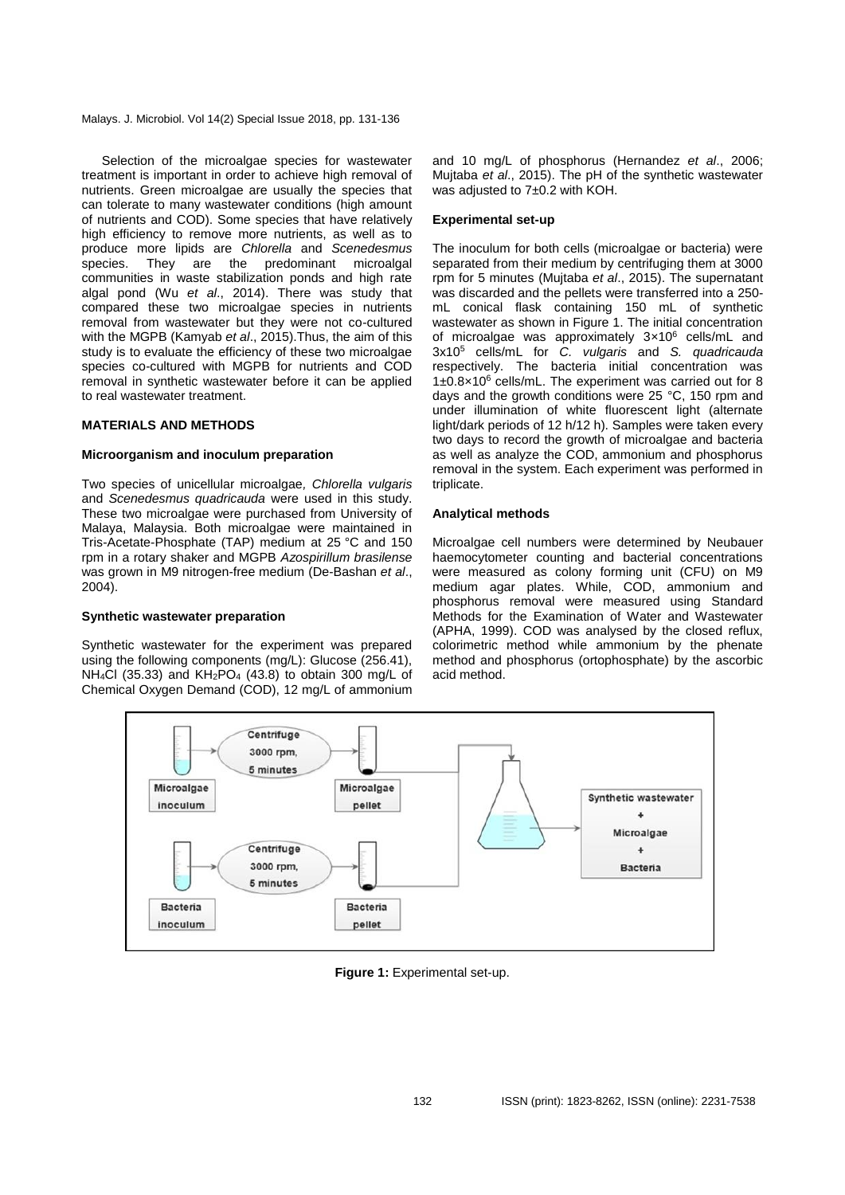Malays. J. Microbiol. Vol 14(2) Special Issue 2018, pp. 131-136

Selection of the microalgae species for wastewater treatment is important in order to achieve high removal of nutrients. Green microalgae are usually the species that can tolerate to many wastewater conditions (high amount of nutrients and COD). Some species that have relatively high efficiency to remove more nutrients, as well as to produce more lipids are *Chlorella* and *Scenedesmus*  species. They are the predominant microalgal communities in waste stabilization ponds and high rate algal pond (Wu *et al*., 2014). There was study that compared these two microalgae species in nutrients removal from wastewater but they were not co-cultured with the MGPB (Kamyab *et al*., 2015).Thus, the aim of this study is to evaluate the efficiency of these two microalgae species co-cultured with MGPB for nutrients and COD removal in synthetic wastewater before it can be applied to real wastewater treatment.

## **MATERIALS AND METHODS**

#### **Microorganism and inoculum preparation**

Two species of unicellular microalgae*, Chlorella vulgaris* and *Scenedesmus quadricauda* were used in this study. These two microalgae were purchased from University of Malaya, Malaysia. Both microalgae were maintained in Tris-Acetate-Phosphate (TAP) medium at 25 °C and 150 rpm in a rotary shaker and MGPB *Azospirillum brasilense*  was grown in M9 nitrogen-free medium (De-Bashan *et al*., 2004).

#### **Synthetic wastewater preparation**

Synthetic wastewater for the experiment was prepared using the following components (mg/L): Glucose (256.41), NH4Cl (35.33) and KH2PO<sup>4</sup> (43.8) to obtain 300 mg/L of Chemical Oxygen Demand (COD), 12 mg/L of ammonium and 10 mg/L of phosphorus (Hernandez *et al*., 2006; Mujtaba *et al*., 2015). The pH of the synthetic wastewater was adjusted to 7±0.2 with KOH.

#### **Experimental set-up**

The inoculum for both cells (microalgae or bacteria) were separated from their medium by centrifuging them at 3000 rpm for 5 minutes (Mujtaba *et al*., 2015). The supernatant was discarded and the pellets were transferred into a 250 mL conical flask containing 150 mL of synthetic wastewater as shown in Figure 1. The initial concentration of microalgae was approximately 3×10<sup>6</sup> cells/mL and 3x10<sup>5</sup> cells/mL for *C. vulgaris* and *S. quadricauda* respectively. The bacteria initial concentration was 1±0.8×10<sup>6</sup> cells/mL. The experiment was carried out for 8 days and the growth conditions were 25 °C, 150 rpm and under illumination of white fluorescent light (alternate light/dark periods of 12 h/12 h). Samples were taken every two days to record the growth of microalgae and bacteria as well as analyze the COD, ammonium and phosphorus removal in the system. Each experiment was performed in triplicate.

#### **Analytical methods**

Microalgae cell numbers were determined by Neubauer haemocytometer counting and bacterial concentrations were measured as colony forming unit (CFU) on M9 medium agar plates. While, COD, ammonium and phosphorus removal were measured using Standard Methods for the Examination of Water and Wastewater (APHA, 1999). COD was analysed by the closed reflux, colorimetric method while ammonium by the phenate method and phosphorus (ortophosphate) by the ascorbic acid method.



**Figure 1:** Experimental set-up.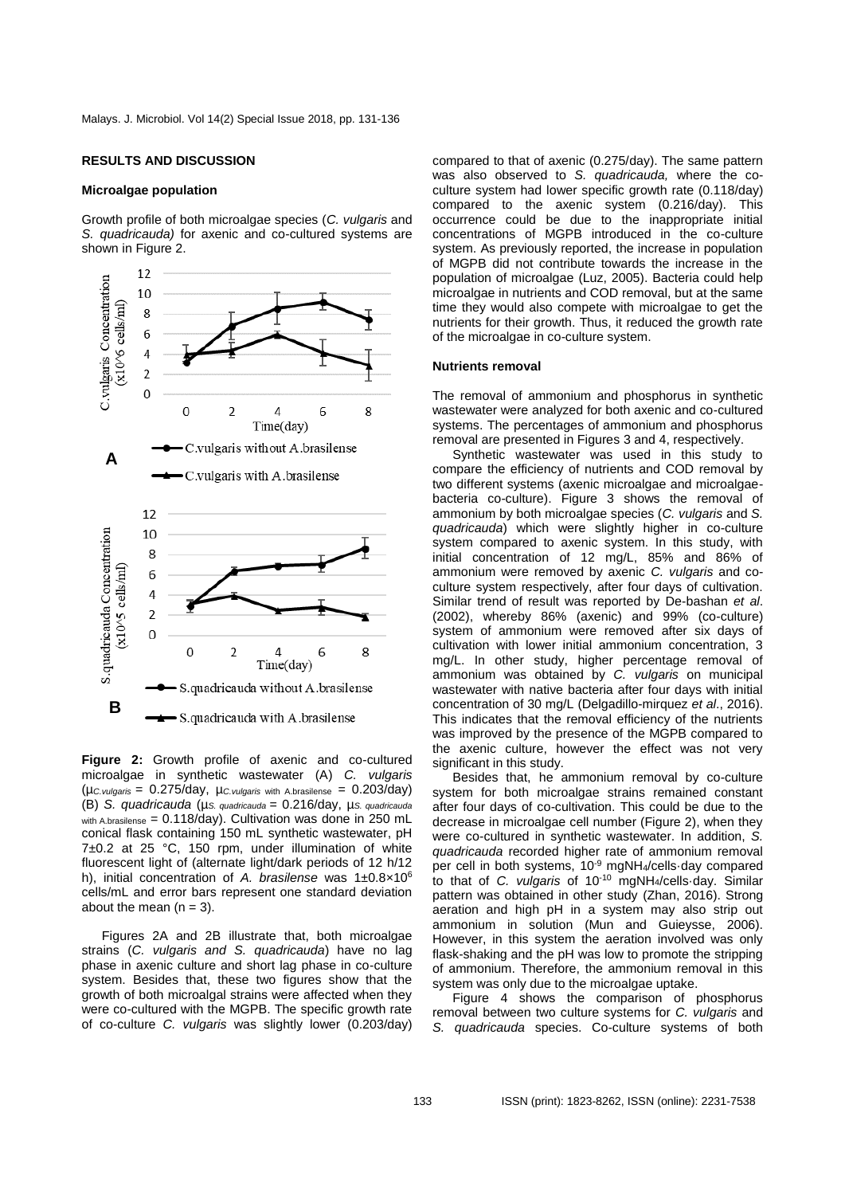#### **RESULTS AND DISCUSSION**

#### **Microalgae population**

Growth profile of both microalgae species (*C. vulgaris* and *S. quadricauda)* for axenic and co-cultured systems are shown in Figure 2.



**Figure 2:** Growth profile of axenic and co-cultured microalgae in synthetic wastewater (A) *C. vulgaris*  (µ*C.vulgaris* = 0.275/day, µ*C.vulgaris* with A.brasilense = 0.203/day) (B) *S. quadricauda* (µ*S. quadricauda* = 0.216/day, µ*S. quadricauda*  with A.brasilense =  $0.118$ /day). Cultivation was done in 250 mL conical flask containing 150 mL synthetic wastewater, pH 7±0.2 at 25 °C, 150 rpm, under illumination of white fluorescent light of (alternate light/dark periods of 12 h/12 h), initial concentration of *A. brasilense* was 1±0.8×10<sup>6</sup> cells/mL and error bars represent one standard deviation about the mean  $(n = 3)$ .

Figures 2A and 2B illustrate that, both microalgae strains (*C. vulgaris and S. quadricauda*) have no lag phase in axenic culture and short lag phase in co-culture system. Besides that, these two figures show that the growth of both microalgal strains were affected when they were co-cultured with the MGPB. The specific growth rate of co-culture *C. vulgaris* was slightly lower (0.203/day) compared to that of axenic (0.275/day). The same pattern was also observed to *S. quadricauda,* where the coculture system had lower specific growth rate (0.118/day) compared to the axenic system (0.216/day). This occurrence could be due to the inappropriate initial concentrations of MGPB introduced in the co-culture system. As previously reported, the increase in population of MGPB did not contribute towards the increase in the population of microalgae (Luz, 2005). Bacteria could help microalgae in nutrients and COD removal, but at the same time they would also compete with microalgae to get the nutrients for their growth. Thus, it reduced the growth rate of the microalgae in co-culture system.

#### **Nutrients removal**

The removal of ammonium and phosphorus in synthetic wastewater were analyzed for both axenic and co-cultured systems. The percentages of ammonium and phosphorus removal are presented in Figures 3 and 4, respectively.

Synthetic wastewater was used in this study to compare the efficiency of nutrients and COD removal by two different systems (axenic microalgae and microalgaebacteria co-culture). Figure 3 shows the removal of ammonium by both microalgae species (*C. vulgaris* and *S. quadricauda*) which were slightly higher in co-culture system compared to axenic system. In this study, with initial concentration of 12 mg/L, 85% and 86% of ammonium were removed by axenic *C. vulgaris* and coculture system respectively, after four days of cultivation. Similar trend of result was reported by De-bashan *et al*. (2002), whereby 86% (axenic) and 99% (co-culture) system of ammonium were removed after six days of cultivation with lower initial ammonium concentration, 3 mg/L. In other study, higher percentage removal of ammonium was obtained by *C. vulgaris* on municipal wastewater with native bacteria after four days with initial concentration of 30 mg/L (Delgadillo-mirquez *et al*., 2016). This indicates that the removal efficiency of the nutrients was improved by the presence of the MGPB compared to the axenic culture, however the effect was not very significant in this study.

Besides that, he ammonium removal by co-culture system for both microalgae strains remained constant after four days of co-cultivation. This could be due to the decrease in microalgae cell number (Figure 2), when they were co-cultured in synthetic wastewater. In addition, *S. quadricauda* recorded higher rate of ammonium removal per cell in both systems, 10-9 mgNH4/cells·day compared to that of *C. vulgaris* of 10-10 mgNH4/cells·day. Similar pattern was obtained in other study (Zhan, 2016). Strong aeration and high pH in a system may also strip out ammonium in solution (Mun and Guieysse, 2006). However, in this system the aeration involved was only flask-shaking and the pH was low to promote the stripping of ammonium. Therefore, the ammonium removal in this system was only due to the microalgae uptake.

Figure 4 shows the comparison of phosphorus removal between two culture systems for *C. vulgaris* and *S. quadricauda* species. Co-culture systems of both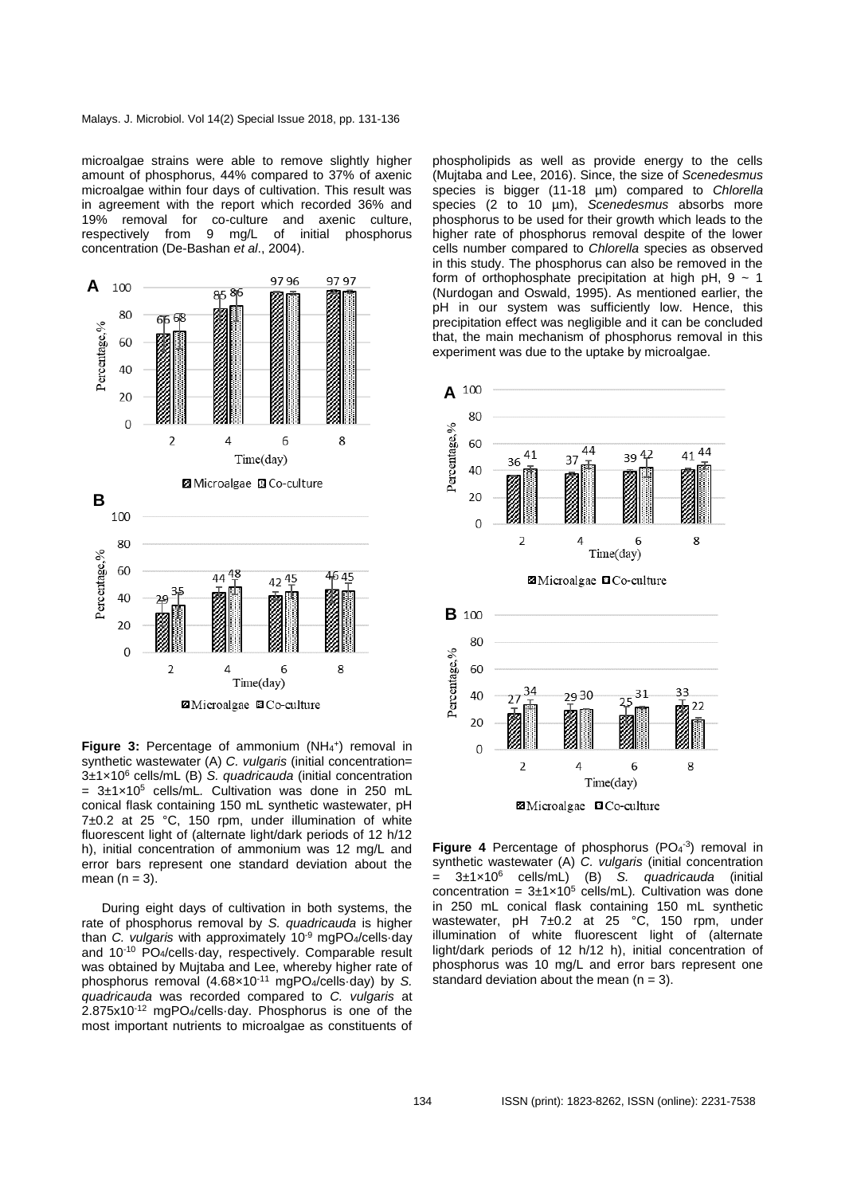microalgae strains were able to remove slightly higher amount of phosphorus, 44% compared to 37% of axenic microalgae within four days of cultivation. This result was in agreement with the report which recorded 36% and 19% removal for co-culture and axenic culture, respectively from 9 mg/L of initial phosphorus concentration (De-Bashan *et al*., 2004).



Figure 3: Percentage of ammonium (NH<sub>4</sub><sup>+</sup>) removal in synthetic wastewater (A) *C. vulgaris* (initial concentration= 3±1×10<sup>6</sup> cells/mL (B) *S. quadricauda* (initial concentration  $= 3\pm1\times10^5$  cells/mL. Cultivation was done in 250 mL conical flask containing 150 mL synthetic wastewater, pH 7±0.2 at 25 °C, 150 rpm, under illumination of white fluorescent light of (alternate light/dark periods of 12 h/12 h), initial concentration of ammonium was 12 mg/L and error bars represent one standard deviation about the mean  $(n = 3)$ .

During eight days of cultivation in both systems, the rate of phosphorus removal by *S. quadricauda* is higher than *C. vulgaris* with approximately 10-9 mgPO4/cells·day and 10<sup>-10</sup> PO<sub>4</sub>/cells day, respectively. Comparable result was obtained by Mujtaba and Lee, whereby higher rate of phosphorus removal (4.68×10-11 mgPO4/cells·day) by *S. quadricauda* was recorded compared to *C. vulgaris* at 2.875x10<sup>-12</sup> mgPO<sub>4</sub>/cells-day. Phosphorus is one of the most important nutrients to microalgae as constituents of

phospholipids as well as provide energy to the cells (Mujtaba and Lee, 2016). Since, the size of *Scenedesmus* species is bigger (11-18 µm) compared to *Chlorella*  species (2 to 10 µm), *Scenedesmus* absorbs more phosphorus to be used for their growth which leads to the higher rate of phosphorus removal despite of the lower cells number compared to *Chlorella* species as observed in this study. The phosphorus can also be removed in the form of orthophosphate precipitation at high pH,  $9 \sim 1$ (Nurdogan and Oswald, 1995). As mentioned earlier, the pH in our system was sufficiently low. Hence, this precipitation effect was negligible and it can be concluded that, the main mechanism of phosphorus removal in this experiment was due to the uptake by microalgae.



**Figure 4** Percentage of phosphorus  $(PO<sub>4</sub><sup>-3</sup>)$  removal in synthetic wastewater (A) *C. vulgaris* (initial concentration = 3±1×10<sup>6</sup> cells/mL) (B) *S. quadricauda* (initial concentration =  $3\pm1\times10^5$  cells/mL). Cultivation was done in 250 mL conical flask containing 150 mL synthetic wastewater, pH 7±0.2 at 25 °C, 150 rpm, under illumination of white fluorescent light of (alternate light/dark periods of 12 h/12 h), initial concentration of phosphorus was 10 mg/L and error bars represent one standard deviation about the mean  $(n = 3)$ .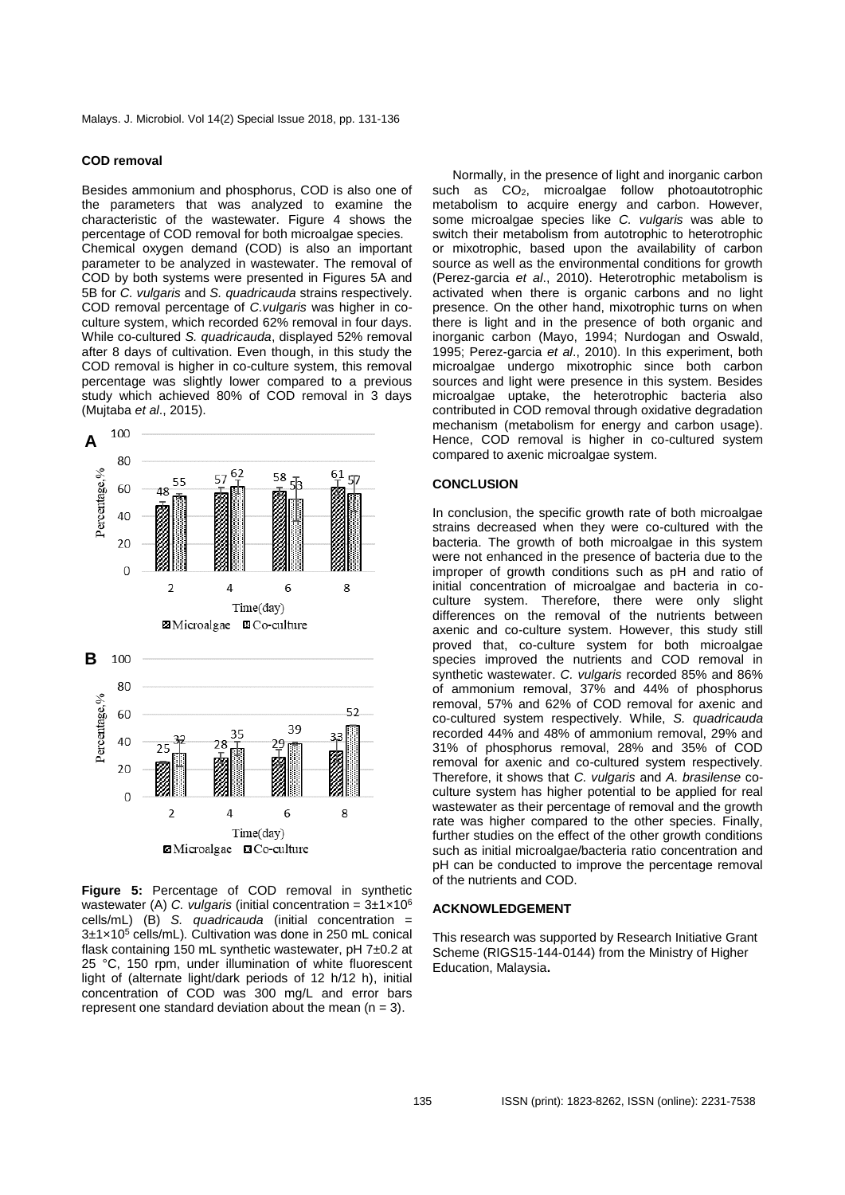#### **COD removal**

Besides ammonium and phosphorus, COD is also one of the parameters that was analyzed to examine the characteristic of the wastewater. Figure 4 shows the percentage of COD removal for both microalgae species. Chemical oxygen demand (COD) is also an important parameter to be analyzed in wastewater. The removal of COD by both systems were presented in Figures 5A and 5B for *C. vulgaris* and *S. quadricauda* strains respectively. COD removal percentage of *C.vulgaris* was higher in coculture system, which recorded 62% removal in four days. While co-cultured *S. quadricauda*, displayed 52% removal after 8 days of cultivation. Even though, in this study the COD removal is higher in co-culture system, this removal percentage was slightly lower compared to a previous study which achieved 80% of COD removal in 3 days (Mujtaba *et al*., 2015).



**Figure 5:** Percentage of COD removal in synthetic wastewater (A) *C. vulgaris* (initial concentration = 3±1×10<sup>6</sup> cells/mL) (B) *S. quadricauda* (initial concentration = 3±1×10<sup>5</sup> cells/mL)*.* Cultivation was done in 250 mL conical flask containing 150 mL synthetic wastewater, pH 7±0.2 at 25 °C, 150 rpm, under illumination of white fluorescent light of (alternate light/dark periods of 12 h/12 h), initial concentration of COD was 300 mg/L and error bars represent one standard deviation about the mean  $(n = 3)$ .

Normally, in the presence of light and inorganic carbon such as CO2, microalgae follow photoautotrophic metabolism to acquire energy and carbon. However, some microalgae species like *C. vulgaris* was able to switch their metabolism from autotrophic to heterotrophic or mixotrophic, based upon the availability of carbon source as well as the environmental conditions for growth (Perez-garcia *et al*., 2010). Heterotrophic metabolism is activated when there is organic carbons and no light presence. On the other hand, mixotrophic turns on when there is light and in the presence of both organic and inorganic carbon (Mayo, 1994; Nurdogan and Oswald, 1995; Perez-garcia *et al*., 2010). In this experiment, both microalgae undergo mixotrophic since both carbon sources and light were presence in this system. Besides microalgae uptake, the heterotrophic bacteria also contributed in COD removal through oxidative degradation mechanism (metabolism for energy and carbon usage). Hence, COD removal is higher in co-cultured system compared to axenic microalgae system.

#### **CONCLUSION**

In conclusion, the specific growth rate of both microalgae strains decreased when they were co-cultured with the bacteria. The growth of both microalgae in this system were not enhanced in the presence of bacteria due to the improper of growth conditions such as pH and ratio of initial concentration of microalgae and bacteria in coculture system. Therefore, there were only slight differences on the removal of the nutrients between axenic and co-culture system. However, this study still proved that, co-culture system for both microalgae species improved the nutrients and COD removal in synthetic wastewater. *C. vulgaris* recorded 85% and 86% of ammonium removal, 37% and 44% of phosphorus removal, 57% and 62% of COD removal for axenic and co-cultured system respectively. While, *S. quadricauda* recorded 44% and 48% of ammonium removal, 29% and 31% of phosphorus removal, 28% and 35% of COD removal for axenic and co-cultured system respectively. Therefore, it shows that *C. vulgaris* and *A. brasilense* coculture system has higher potential to be applied for real wastewater as their percentage of removal and the growth rate was higher compared to the other species. Finally, further studies on the effect of the other growth conditions such as initial microalgae/bacteria ratio concentration and pH can be conducted to improve the percentage removal of the nutrients and COD.

#### **ACKNOWLEDGEMENT**

This research was supported by Research Initiative Grant Scheme (RIGS15-144-0144) from the Ministry of Higher Education, Malaysia**.**